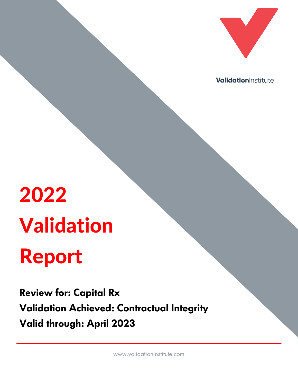

ValidationInstitute

# 2022 Validation Report

**Review for: Capital Rx Validation Achieved: Contractual Integrity Valid through: April 2023**

www.validationinstitute.com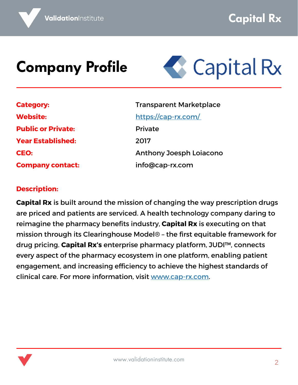#### **Company Profile**



| <b>Category:</b>          |
|---------------------------|
| <b>Website:</b>           |
| <b>Public or Private:</b> |
| <b>Year Established:</b>  |
| <b>CEO:</b>               |
| <b>Company contact:</b>   |

Transparent Marketplace <https://cap-rx.com/> Private 2017 Anthony Joesph Loiacono info@cap-rx.com

#### **Description:**

**Capital Rx** is built around the mission of changing the way prescription drugs are priced and patients are serviced. A health technology company daring to reimagine the pharmacy benefits industry, **Capital Rx** is executing on that mission through its Clearinghouse Model® – the first equitable framework for drug pricing. **Capital Rx's** enterprise pharmacy platform, JUDI™, connects every aspect of the pharmacy ecosystem in one platform, enabling patient engagement, and increasing efficiency to achieve the highest standards of clinical care. For more information, visit [www.cap-rx.com.](http://www.cap-rx.com/)

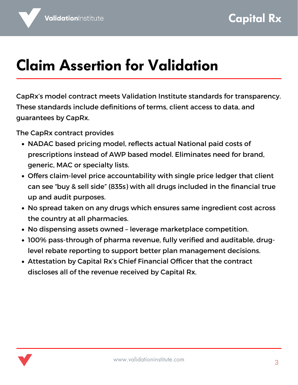## **Claim Assertion for Validation**

CapRx's model contract meets Validation Institute standards for transparency. These standards include definitions of terms, client access to data, and guarantees by CapRx.

The CapRx contract provides

- NADAC based pricing model, reflects actual National paid costs of prescriptions instead of AWP based model. Eliminates need for brand, generic, MAC or specialty lists.
- Offers claim-level price accountability with single price ledger that client can see "buy & sell side" (835s) with all drugs included in the financial true up and audit purposes.
- No spread taken on any drugs which ensures same ingredient cost across the country at all pharmacies.
- No dispensing assets owned leverage marketplace competition.
- 100% pass-through of pharma revenue, fully verified and auditable, druglevel rebate reporting to support better plan management decisions.
- Attestation by Capital Rx's Chief Financial Officer that the contract discloses all of the revenue received by Capital Rx.

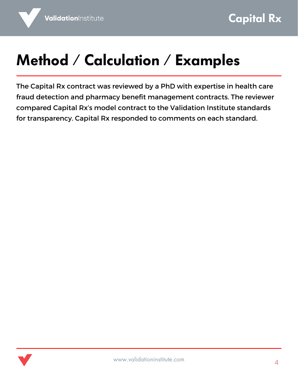## **Method / Calculation / Examples**

The Capital Rx contract was reviewed by a PhD with expertise in health care fraud detection and pharmacy benefit management contracts. The reviewer compared Capital Rx's model contract to the Validation Institute standards for transparency. Capital Rx responded to comments on each standard.

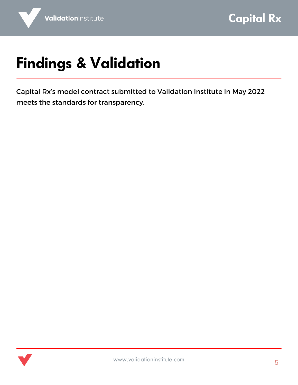# **Findings & Validation**

Capital Rx's model contract submitted to Validation Institute in May 2022 meets the standards for transparency.

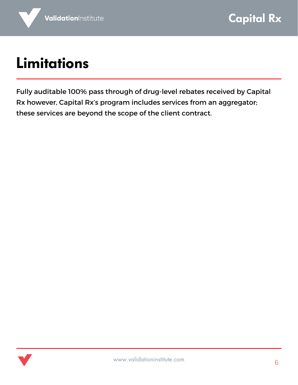### **Limitations**

Fully auditable 100% pass through of drug-level rebates received by Capital Rx however, Capital Rx's program includes services from an aggregator; these services are beyond the scope of the client contract.

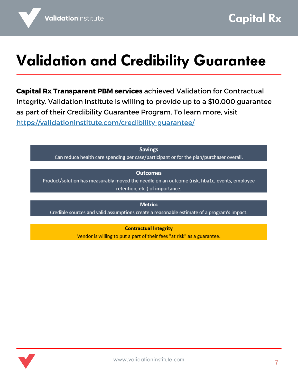## **Validation and Credibility Guarantee**

**Capital Rx Transparent PBM services** achieved Validation for Contractual Integrity. Validation Institute is willing to provide up to a \$10,000 guarantee as part of their Credibility Guarantee Program. To learn more, visit <https://validationinstitute.com/credibility-guarantee/>

**Savings** 

Can reduce health care spending per case/participant or for the plan/purchaser overall.

#### **Outcomes**

Product/solution has measurably moved the needle on an outcome (risk, hba1c, events, employee retention, etc.) of importance.

**Metrics** 

Credible sources and valid assumptions create a reasonable estimate of a program's impact.

**Contractual Integrity** 

Vendor is willing to put a part of their fees "at risk" as a guarantee.

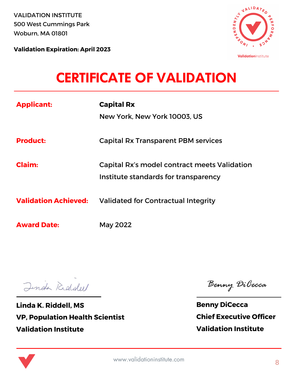VALIDATION INSTITUTE 500 West Cummings Park Woburn, MA 01801

**Validation Expiration: April 2023**



ValidationInstitute

#### **CERTIFICATE OF VALIDATION**

| <b>Applicant:</b>           | <b>Capital Rx</b>                            |
|-----------------------------|----------------------------------------------|
|                             | New York, New York 10003, US                 |
|                             |                                              |
| <b>Product:</b>             | <b>Capital Rx Transparent PBM services</b>   |
|                             |                                              |
| <b>Claim:</b>               | Capital Rx's model contract meets Validation |
|                             | Institute standards for transparency         |
| <b>Validation Achieved:</b> | Validated for Contractual Integrity          |
|                             |                                              |
| <b>Award Date:</b>          | May 2022                                     |
|                             |                                              |

Jinda Riddell

**Linda K. Riddell, MS VP, Population Health Scientist Validation Institute**

Benny DiCecca

**Benny DiCecca Chief Executive Officer Validation Institute**